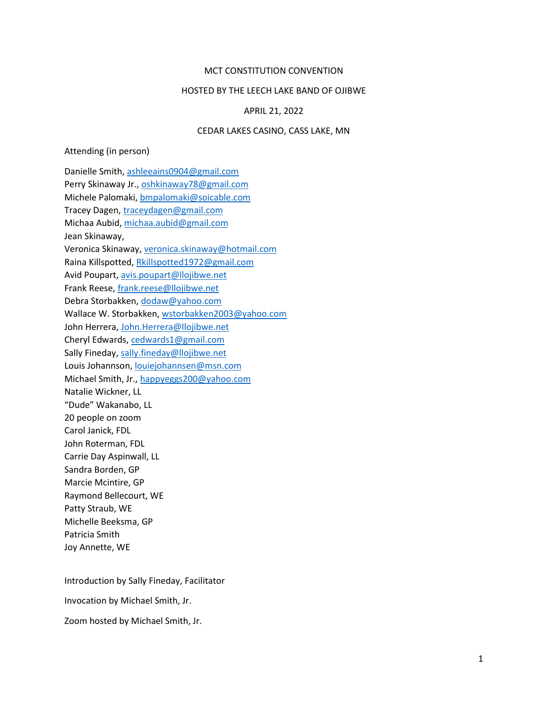### MCT CONSTITUTION CONVENTION

### HOSTED BY THE LEECH LAKE BAND OF OJIBWE

#### APRIL 21, 2022

## CEDAR LAKES CASINO, CASS LAKE, MN

#### Attending (in person)

Danielle Smith, ashleeains0904@gmail.com Perry Skinaway Jr., oshkinaway78@gmail.com Michele Palomaki, bmpalomaki@soicable.com Tracey Dagen, traceydagen@gmail.com Michaa Aubid, michaa.aubid@gmail.com Jean Skinaway, Veronica Skinaway, veronica.skinaway@hotmail.com Raina Killspotted, Rkillspotted1972@gmail.com Avid Poupart, avis.poupart@llojibwe.net Frank Reese, frank.reese@llojibwe.net Debra Storbakken, dodaw@yahoo.com Wallace W. Storbakken, wstorbakken2003@yahoo.com John Herrera, John.Herrera@llojibwe.net Cheryl Edwards, cedwards1@gmail.com Sally Fineday, sally.fineday@llojibwe.net Louis Johannson, louiejohannsen@msn.com Michael Smith, Jr., happyeggs200@yahoo.com Natalie Wickner, LL "Dude" Wakanabo, LL 20 people on zoom Carol Janick, FDL John Roterman, FDL Carrie Day Aspinwall, LL Sandra Borden, GP Marcie Mcintire, GP Raymond Bellecourt, WE Patty Straub, WE Michelle Beeksma, GP Patricia Smith Joy Annette, WE

Introduction by Sally Fineday, Facilitator

Invocation by Michael Smith, Jr.

Zoom hosted by Michael Smith, Jr.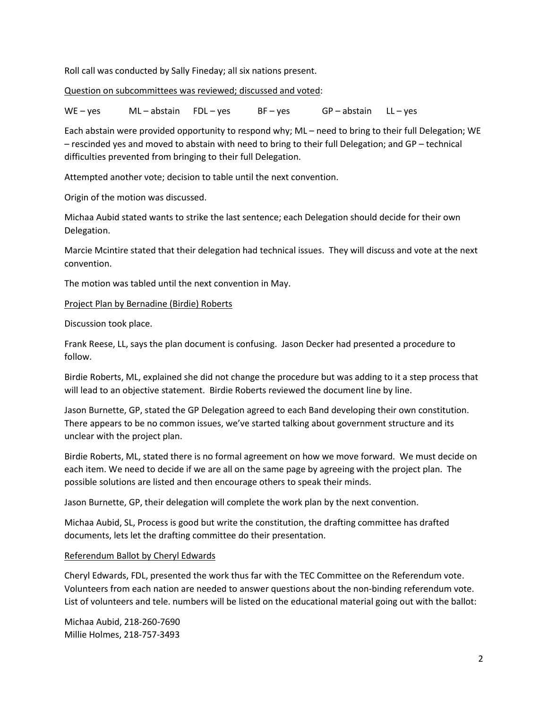Roll call was conducted by Sally Fineday; all six nations present.

Question on subcommittees was reviewed; discussed and voted:

WE-yes ML-abstain FDL-yes BF-yes GP-abstain LL-yes

Each abstain were provided opportunity to respond why; ML – need to bring to their full Delegation; WE – rescinded yes and moved to abstain with need to bring to their full Delegation; and GP – technical difficulties prevented from bringing to their full Delegation.

Attempted another vote; decision to table until the next convention.

Origin of the motion was discussed.

Michaa Aubid stated wants to strike the last sentence; each Delegation should decide for their own Delegation.

Marcie Mcintire stated that their delegation had technical issues. They will discuss and vote at the next convention.

The motion was tabled until the next convention in May.

# Project Plan by Bernadine (Birdie) Roberts

Discussion took place.

Frank Reese, LL, says the plan document is confusing. Jason Decker had presented a procedure to follow.

Birdie Roberts, ML, explained she did not change the procedure but was adding to it a step process that will lead to an objective statement. Birdie Roberts reviewed the document line by line.

Jason Burnette, GP, stated the GP Delegation agreed to each Band developing their own constitution. There appears to be no common issues, we've started talking about government structure and its unclear with the project plan.

Birdie Roberts, ML, stated there is no formal agreement on how we move forward. We must decide on each item. We need to decide if we are all on the same page by agreeing with the project plan. The possible solutions are listed and then encourage others to speak their minds.

Jason Burnette, GP, their delegation will complete the work plan by the next convention.

Michaa Aubid, SL, Process is good but write the constitution, the drafting committee has drafted documents, lets let the drafting committee do their presentation.

# Referendum Ballot by Cheryl Edwards

Cheryl Edwards, FDL, presented the work thus far with the TEC Committee on the Referendum vote. Volunteers from each nation are needed to answer questions about the non-binding referendum vote. List of volunteers and tele. numbers will be listed on the educational material going out with the ballot:

Michaa Aubid, 218-260-7690 Millie Holmes, 218-757-3493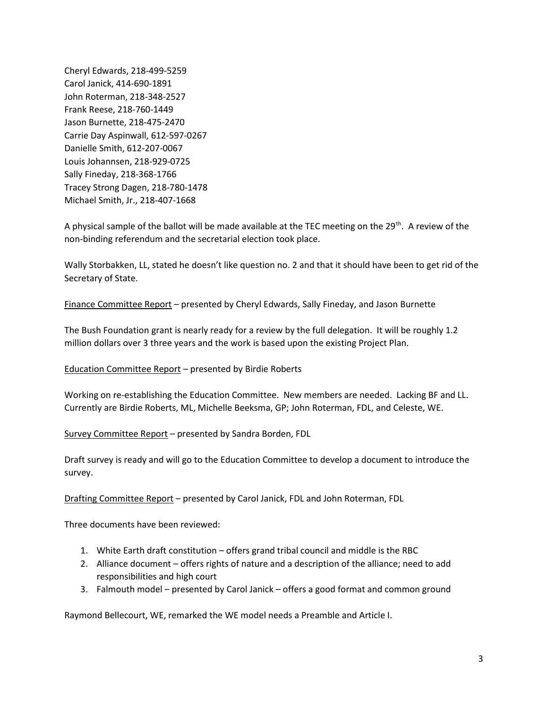Cheryl Edwards, 218-499-5259 Carol Janick, 414-690-1891 John Roterman, 218-348-2527 Frank Reese, 218-760-1449 Jason Burnette, 218-475-2470 Carrie Day Aspinwall, 612-597-0267 Danielle Smith, 612-207-0067 Louis Johannsen, 218-929-0725 Sally Fineday, 218-368-1766 Tracey Strong Dagen, 218-780-1478 Michael Smith, Jr., 218-407-1668

A physical sample of the ballot will be made available at the TEC meeting on the 29<sup>th</sup>. A review of the non-binding referendum and the secretarial election took place.

Wally Storbakken, LL, stated he doesn't like question no. 2 and that it should have been to get rid of the Secretary of State.

Finance Committee Report – presented by Cheryl Edwards, Sally Fineday, and Jason Burnette

The Bush Foundation grant is nearly ready for a review by the full delegation. It will be roughly 1.2 million dollars over 3 three years and the work is based upon the existing Project Plan.

Education Committee Report – presented by Birdie Roberts

Working on re-establishing the Education Committee. New members are needed. Lacking BF and LL. Currently are Birdie Roberts, ML, Michelle Beeksma, GP; John Roterman, FDL, and Celeste, WE.

Survey Committee Report – presented by Sandra Borden, FDL

Draft survey is ready and will go to the Education Committee to develop a document to introduce the survey.

Drafting Committee Report – presented by Carol Janick, FDL and John Roterman, FDL

Three documents have been reviewed:

- 1. White Earth draft constitution offers grand tribal council and middle is the RBC
- 2. Alliance document offers rights of nature and a description of the alliance; need to add responsibilities and high court
- 3. Falmouth model presented by Carol Janick offers a good format and common ground

Raymond Bellecourt, WE, remarked the WE model needs a Preamble and Article I.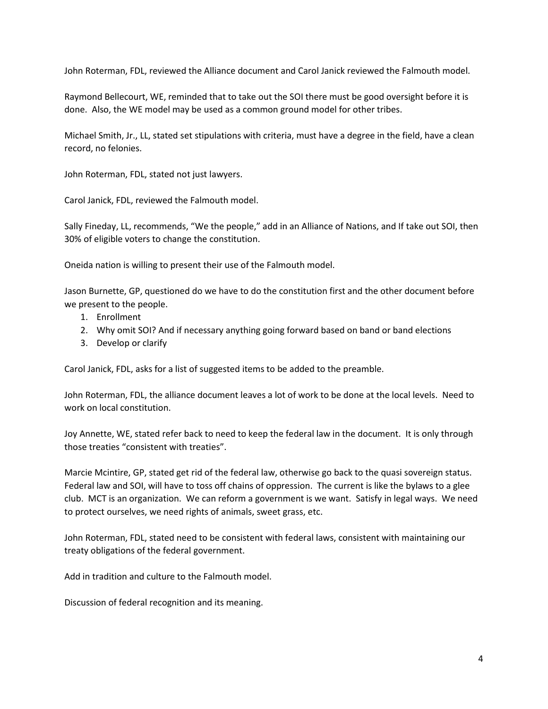John Roterman, FDL, reviewed the Alliance document and Carol Janick reviewed the Falmouth model.

Raymond Bellecourt, WE, reminded that to take out the SOI there must be good oversight before it is done. Also, the WE model may be used as a common ground model for other tribes.

Michael Smith, Jr., LL, stated set stipulations with criteria, must have a degree in the field, have a clean record, no felonies.

John Roterman, FDL, stated not just lawyers.

Carol Janick, FDL, reviewed the Falmouth model.

Sally Fineday, LL, recommends, "We the people," add in an Alliance of Nations, and If take out SOI, then 30% of eligible voters to change the constitution.

Oneida nation is willing to present their use of the Falmouth model.

Jason Burnette, GP, questioned do we have to do the constitution first and the other document before we present to the people.

- 1. Enrollment
- 2. Why omit SOI? And if necessary anything going forward based on band or band elections
- 3. Develop or clarify

Carol Janick, FDL, asks for a list of suggested items to be added to the preamble.

John Roterman, FDL, the alliance document leaves a lot of work to be done at the local levels. Need to work on local constitution.

Joy Annette, WE, stated refer back to need to keep the federal law in the document. It is only through those treaties "consistent with treaties".

Marcie Mcintire, GP, stated get rid of the federal law, otherwise go back to the quasi sovereign status. Federal law and SOI, will have to toss off chains of oppression. The current is like the bylaws to a glee club. MCT is an organization. We can reform a government is we want. Satisfy in legal ways. We need to protect ourselves, we need rights of animals, sweet grass, etc.

John Roterman, FDL, stated need to be consistent with federal laws, consistent with maintaining our treaty obligations of the federal government.

Add in tradition and culture to the Falmouth model.

Discussion of federal recognition and its meaning.